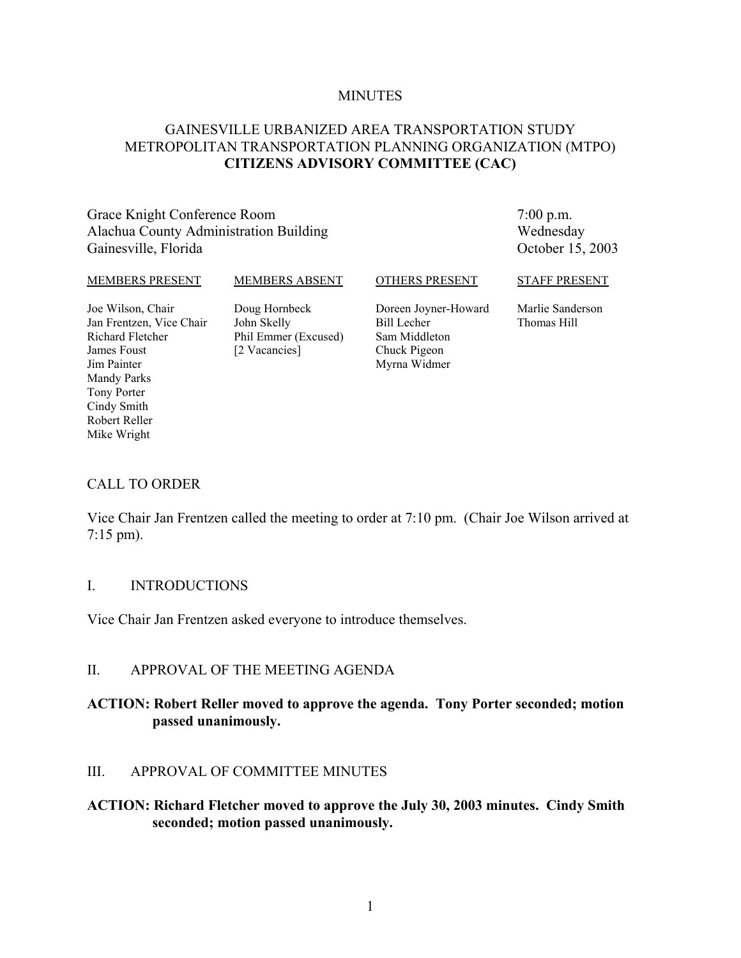#### **MINUTES**

### GAINESVILLE URBANIZED AREA TRANSPORTATION STUDY METROPOLITAN TRANSPORTATION PLANNING ORGANIZATION (MTPO) **CITIZENS ADVISORY COMMITTEE (CAC)**

### Grace Knight Conference Room Alachua County Administration Building Gainesville, Florida

7:00 p.m. Wednesday October 15, 2003

#### MEMBERS PRESENT

#### MEMBERS ABSENT

OTHERS PRESENT

Joe Wilson, Chair Jan Frentzen, Vice Chair Richard Fletcher James Foust Jim Painter Mandy Parks Tony Porter Cindy Smith Robert Reller Mike Wright

Doug Hornbeck John Skelly Phil Emmer (Excused) [2 Vacancies]

Doreen Joyner-Howard Bill Lecher Sam Middleton Chuck Pigeon Myrna Widmer

STAFF PRESENT

Marlie Sanderson Thomas Hill

### CALL TO ORDER

Vice Chair Jan Frentzen called the meeting to order at 7:10 pm. (Chair Joe Wilson arrived at 7:15 pm).

#### I. INTRODUCTIONS

Vice Chair Jan Frentzen asked everyone to introduce themselves.

### II. APPROVAL OF THE MEETING AGENDA

### **ACTION: Robert Reller moved to approve the agenda. Tony Porter seconded; motion passed unanimously.**

### III. APPROVAL OF COMMITTEE MINUTES

### **ACTION: Richard Fletcher moved to approve the July 30, 2003 minutes. Cindy Smith seconded; motion passed unanimously.**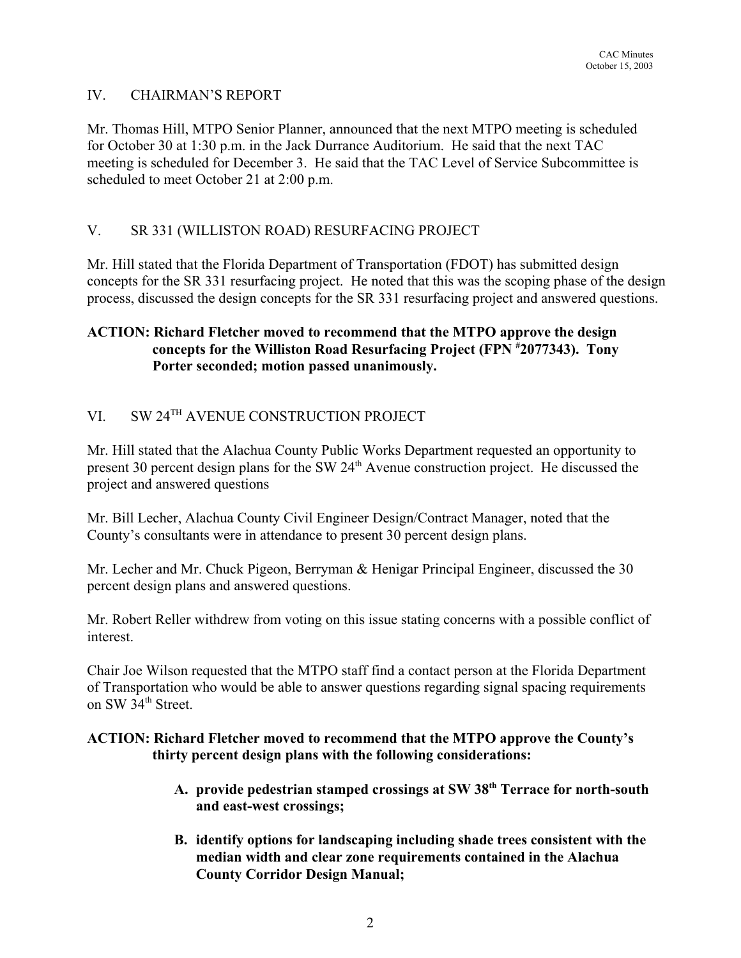### IV. CHAIRMAN'S REPORT

Mr. Thomas Hill, MTPO Senior Planner, announced that the next MTPO meeting is scheduled for October 30 at 1:30 p.m. in the Jack Durrance Auditorium. He said that the next TAC meeting is scheduled for December 3. He said that the TAC Level of Service Subcommittee is scheduled to meet October 21 at 2:00 p.m.

## V. SR 331 (WILLISTON ROAD) RESURFACING PROJECT

Mr. Hill stated that the Florida Department of Transportation (FDOT) has submitted design concepts for the SR 331 resurfacing project. He noted that this was the scoping phase of the design process, discussed the design concepts for the SR 331 resurfacing project and answered questions.

## **ACTION: Richard Fletcher moved to recommend that the MTPO approve the design concepts for the Williston Road Resurfacing Project (FPN # 2077343). Tony Porter seconded; motion passed unanimously.**

# VI. SW 24TH AVENUE CONSTRUCTION PROJECT

Mr. Hill stated that the Alachua County Public Works Department requested an opportunity to present 30 percent design plans for the SW 24<sup>th</sup> Avenue construction project. He discussed the project and answered questions

Mr. Bill Lecher, Alachua County Civil Engineer Design/Contract Manager, noted that the County's consultants were in attendance to present 30 percent design plans.

Mr. Lecher and Mr. Chuck Pigeon, Berryman & Henigar Principal Engineer, discussed the 30 percent design plans and answered questions.

Mr. Robert Reller withdrew from voting on this issue stating concerns with a possible conflict of interest.

Chair Joe Wilson requested that the MTPO staff find a contact person at the Florida Department of Transportation who would be able to answer questions regarding signal spacing requirements on SW 34<sup>th</sup> Street.

### **ACTION: Richard Fletcher moved to recommend that the MTPO approve the County's thirty percent design plans with the following considerations:**

- **A. provide pedestrian stamped crossings at SW 38th Terrace for north-south and east-west crossings;**
- **B. identify options for landscaping including shade trees consistent with the median width and clear zone requirements contained in the Alachua County Corridor Design Manual;**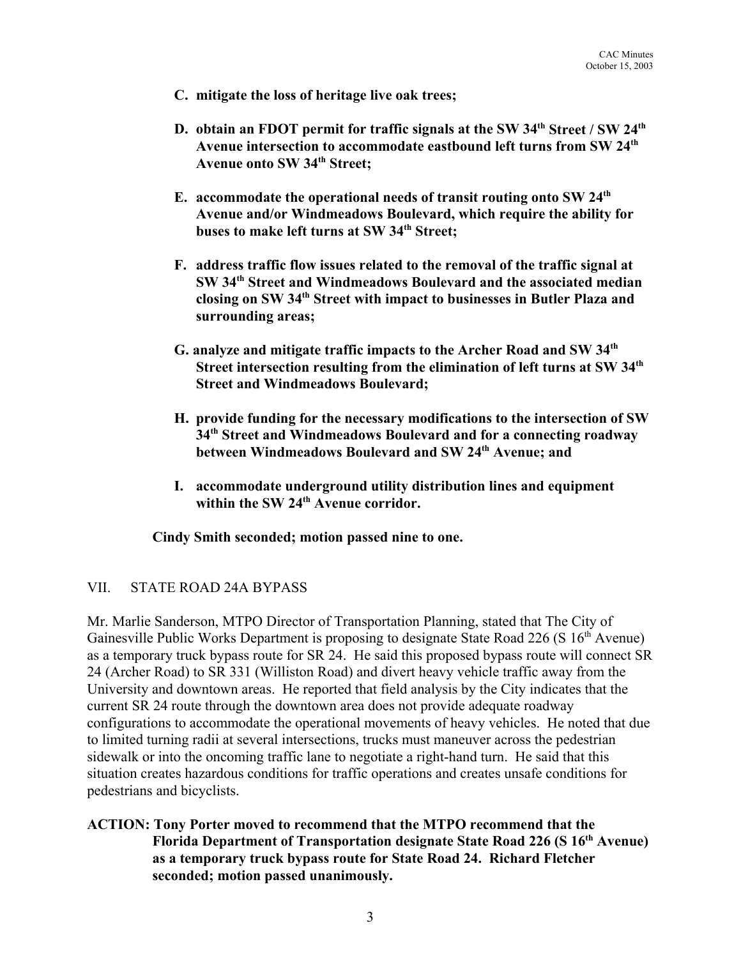- **C. mitigate the loss of heritage live oak trees;**
- **D.** obtain an FDOT permit for traffic signals at the SW 34<sup>th</sup> Street / SW 24<sup>th</sup> **Avenue intersection to accommodate eastbound left turns from SW 24th Avenue onto SW 34th Street;**
- **E. accommodate the operational needs of transit routing onto SW 24th Avenue and/or Windmeadows Boulevard, which require the ability for buses to make left turns at SW 34th Street;**
- **F. address traffic flow issues related to the removal of the traffic signal at SW 34th Street and Windmeadows Boulevard and the associated median closing on SW 34th Street with impact to businesses in Butler Plaza and surrounding areas;**
- **G. analyze and mitigate traffic impacts to the Archer Road and SW 34th Street intersection resulting from the elimination of left turns at SW 34th Street and Windmeadows Boulevard;**
- **H. provide funding for the necessary modifications to the intersection of SW 34th Street and Windmeadows Boulevard and for a connecting roadway between Windmeadows Boulevard and SW 24th Avenue; and**
- **I. accommodate underground utility distribution lines and equipment within the SW 24th Avenue corridor.**

**Cindy Smith seconded; motion passed nine to one.**

### VII. STATE ROAD 24A BYPASS

Mr. Marlie Sanderson, MTPO Director of Transportation Planning, stated that The City of Gainesville Public Works Department is proposing to designate State Road 226 (S  $16<sup>th</sup>$  Avenue) as a temporary truck bypass route for SR 24. He said this proposed bypass route will connect SR 24 (Archer Road) to SR 331 (Williston Road) and divert heavy vehicle traffic away from the University and downtown areas. He reported that field analysis by the City indicates that the current SR 24 route through the downtown area does not provide adequate roadway configurations to accommodate the operational movements of heavy vehicles. He noted that due to limited turning radii at several intersections, trucks must maneuver across the pedestrian sidewalk or into the oncoming traffic lane to negotiate a right-hand turn. He said that this situation creates hazardous conditions for traffic operations and creates unsafe conditions for pedestrians and bicyclists.

### **ACTION: Tony Porter moved to recommend that the MTPO recommend that the Florida Department of Transportation designate State Road 226 (S 16th Avenue) as a temporary truck bypass route for State Road 24. Richard Fletcher seconded; motion passed unanimously.**